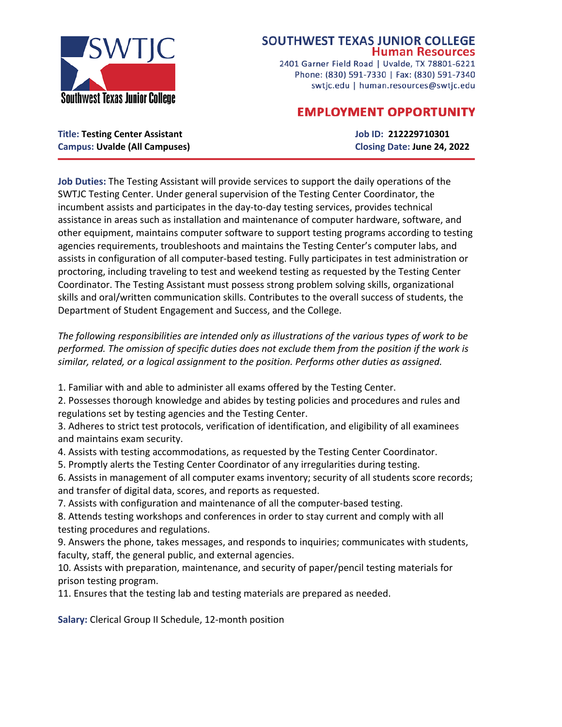

## **SOUTHWEST TEXAS JUNIOR COLLEGE Human Resources**

2401 Garner Field Road | Uvalde, TX 78801-6221 Phone: (830) 591-7330 | Fax: (830) 591-7340 swtjc.edu | human.resources@swtjc.edu

# **EMPLOYMENT OPPORTUNITY**

**Title: Testing Center Assistant Job ID: 212229710301 Campus: Uvalde (All Campuses) Closing Date: June 24, 2022**

**Job Duties:** The Testing Assistant will provide services to support the daily operations of the SWTJC Testing Center. Under general supervision of the Testing Center Coordinator, the incumbent assists and participates in the day-to-day testing services, provides technical assistance in areas such as installation and maintenance of computer hardware, software, and other equipment, maintains computer software to support testing programs according to testing agencies requirements, troubleshoots and maintains the Testing Center's computer labs, and assists in configuration of all computer-based testing. Fully participates in test administration or proctoring, including traveling to test and weekend testing as requested by the Testing Center Coordinator. The Testing Assistant must possess strong problem solving skills, organizational skills and oral/written communication skills. Contributes to the overall success of students, the Department of Student Engagement and Success, and the College.

*The following responsibilities are intended only as illustrations of the various types of work to be performed. The omission of specific duties does not exclude them from the position if the work is similar, related, or a logical assignment to the position. Performs other duties as assigned.*

1. Familiar with and able to administer all exams offered by the Testing Center.

2. Possesses thorough knowledge and abides by testing policies and procedures and rules and regulations set by testing agencies and the Testing Center.

3. Adheres to strict test protocols, verification of identification, and eligibility of all examinees and maintains exam security.

4. Assists with testing accommodations, as requested by the Testing Center Coordinator.

5. Promptly alerts the Testing Center Coordinator of any irregularities during testing.

6. Assists in management of all computer exams inventory; security of all students score records; and transfer of digital data, scores, and reports as requested.

7. Assists with configuration and maintenance of all the computer-based testing.

8. Attends testing workshops and conferences in order to stay current and comply with all testing procedures and regulations.

9. Answers the phone, takes messages, and responds to inquiries; communicates with students, faculty, staff, the general public, and external agencies.

10. Assists with preparation, maintenance, and security of paper/pencil testing materials for prison testing program.

11. Ensures that the testing lab and testing materials are prepared as needed.

**Salary:** Clerical Group II Schedule, 12-month position